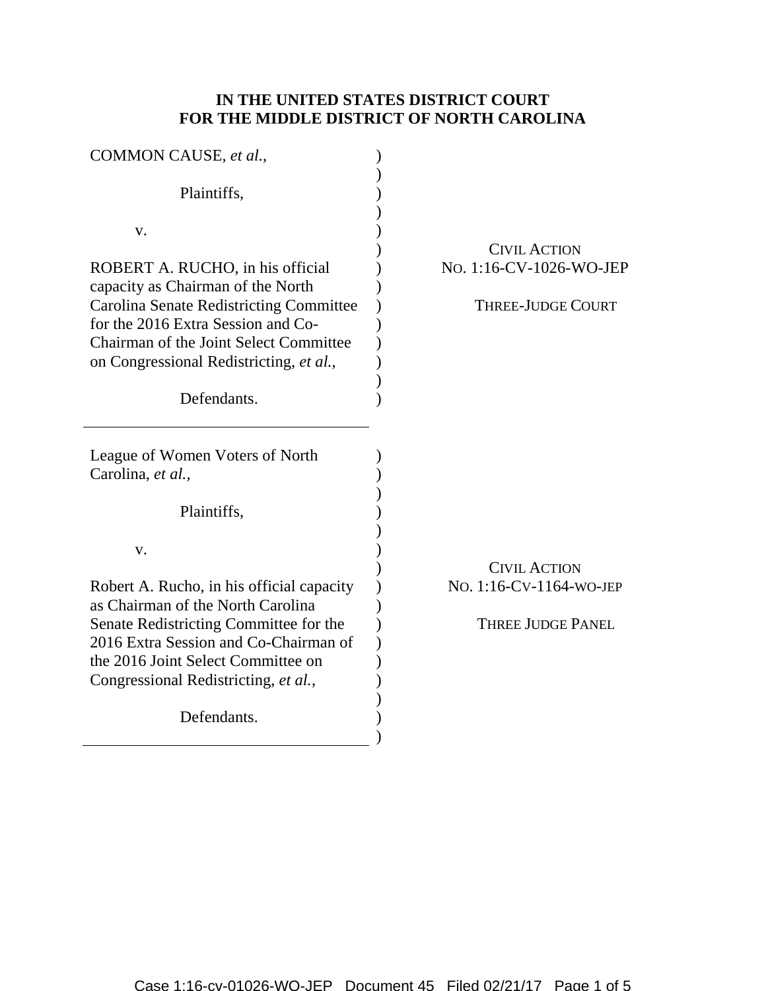## **IN THE UNITED STATES DISTRICT COURT FOR THE MIDDLE DISTRICT OF NORTH CAROLINA**

| COMMON CAUSE, et al.,                          |                          |
|------------------------------------------------|--------------------------|
| Plaintiffs,                                    |                          |
| V.                                             |                          |
|                                                | <b>CIVIL ACTION</b>      |
| ROBERT A. RUCHO, in his official               | No. 1:16-CV-1026-WO-JEP  |
| capacity as Chairman of the North              |                          |
| <b>Carolina Senate Redistricting Committee</b> | <b>THREE-JUDGE COURT</b> |
| for the 2016 Extra Session and Co-             |                          |
| Chairman of the Joint Select Committee         |                          |
| on Congressional Redistricting, et al.,        |                          |
|                                                |                          |
| Defendants.                                    |                          |
|                                                |                          |
|                                                |                          |
| League of Women Voters of North                |                          |
| Carolina, et al.,                              |                          |
|                                                |                          |
| Plaintiffs,                                    |                          |
|                                                |                          |
| V.                                             |                          |
|                                                | <b>CIVIL ACTION</b>      |
| Robert A. Rucho, in his official capacity      | No. 1:16-CV-1164-WO-JEP  |
| as Chairman of the North Carolina              |                          |
| Senate Redistricting Committee for the         | <b>THREE JUDGE PANEL</b> |
| 2016 Extra Session and Co-Chairman of          |                          |
| the 2016 Joint Select Committee on             |                          |
| Congressional Redistricting, et al.,           |                          |
|                                                |                          |
| Defendants.                                    |                          |
|                                                |                          |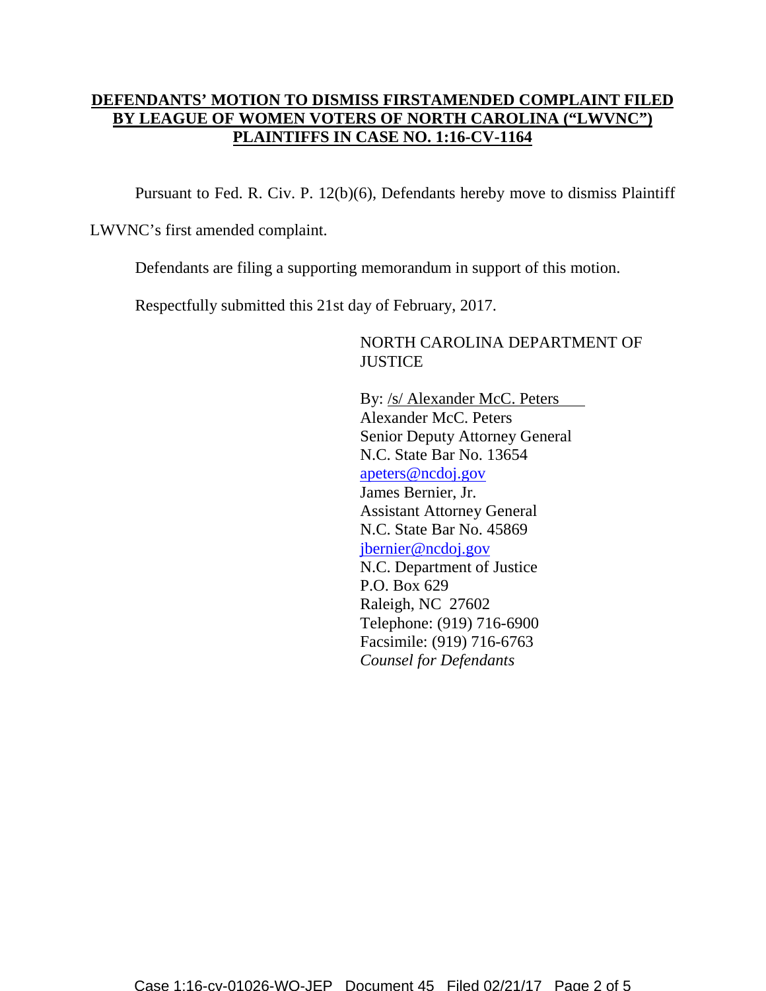## **DEFENDANTS' MOTION TO DISMISS FIRSTAMENDED COMPLAINT FILED BY LEAGUE OF WOMEN VOTERS OF NORTH CAROLINA ("LWVNC") PLAINTIFFS IN CASE NO. 1:16-CV-1164**

Pursuant to Fed. R. Civ. P. 12(b)(6), Defendants hereby move to dismiss Plaintiff

LWVNC's first amended complaint.

Defendants are filing a supporting memorandum in support of this motion.

Respectfully submitted this 21st day of February, 2017.

NORTH CAROLINA DEPARTMENT OF **JUSTICE** 

By: /s/ Alexander McC. Peters Alexander McC. Peters Senior Deputy Attorney General N.C. State Bar No. 13654 apeters@ncdoj.gov James Bernier, Jr. Assistant Attorney General N.C. State Bar No. 45869 jbernier@ncdoj.gov N.C. Department of Justice P.O. Box 629 Raleigh, NC 27602 Telephone: (919) 716-6900 Facsimile: (919) 716-6763 *Counsel for Defendants*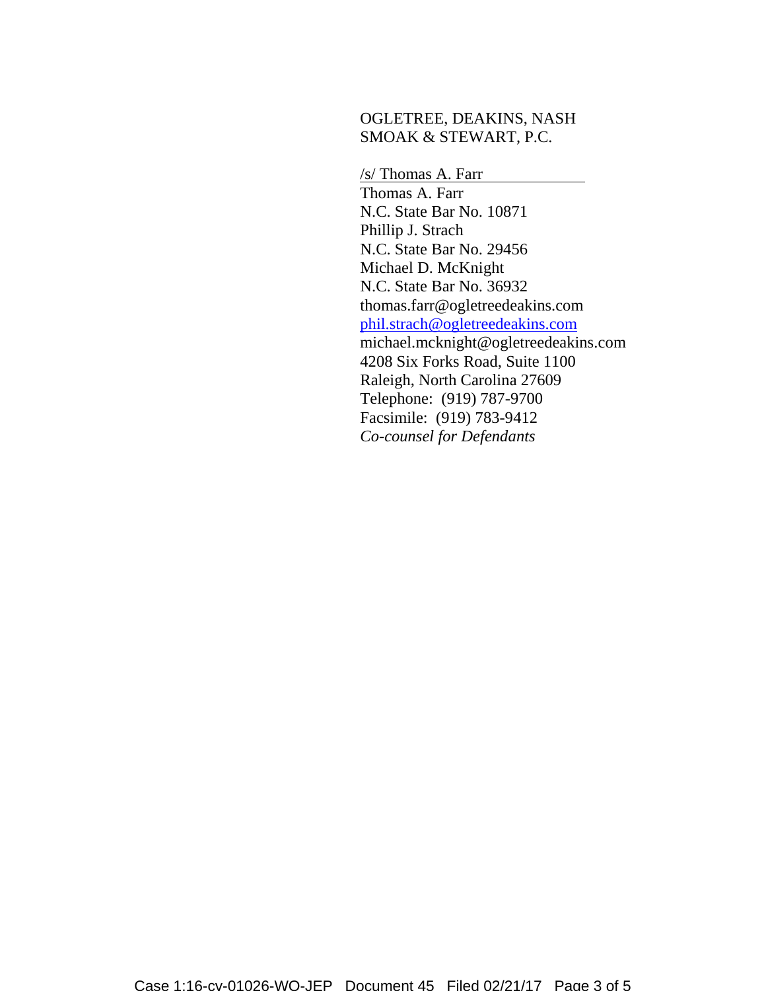## OGLETREE, DEAKINS, NASH SMOAK & STEWART, P.C.

/s/ Thomas A. Farr Thomas A. Farr N.C. State Bar No. 10871 Phillip J. Strach N.C. State Bar No. 29456 Michael D. McKnight N.C. State Bar No. 36932 thomas.farr@ogletreedeakins.com phil.strach@ogletreedeakins.com michael.mcknight@ogletreedeakins.com 4208 Six Forks Road, Suite 1100 Raleigh, North Carolina 27609 Telephone: (919) 787-9700 Facsimile: (919) 783-9412 *Co-counsel for Defendants*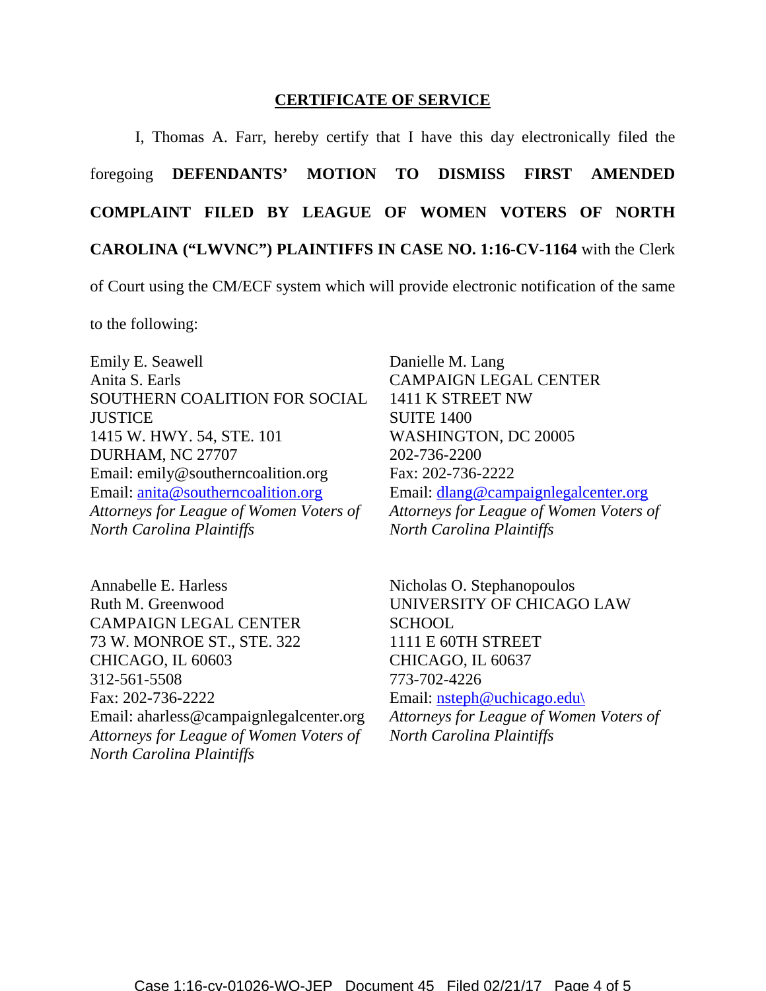## **CERTIFICATE OF SERVICE**

I, Thomas A. Farr, hereby certify that I have this day electronically filed the foregoing **DEFENDANTS' MOTION TO DISMISS FIRST AMENDED COMPLAINT FILED BY LEAGUE OF WOMEN VOTERS OF NORTH CAROLINA ("LWVNC") PLAINTIFFS IN CASE NO. 1:16-CV-1164** with the Clerk

of Court using the CM/ECF system which will provide electronic notification of the same

to the following:

Emily E. Seawell Anita S. Earls SOUTHERN COALITION FOR SOCIAL **JUSTICE** 1415 W. HWY. 54, STE. 101 DURHAM, NC 27707 Email: emily@southerncoalition.org Email: anita@southerncoalition.org *Attorneys for League of Women Voters of North Carolina Plaintiffs*

Annabelle E. Harless Ruth M. Greenwood CAMPAIGN LEGAL CENTER 73 W. MONROE ST., STE. 322 CHICAGO, IL 60603 312-561-5508 Fax: 202-736-2222 Email: aharless@campaignlegalcenter.org *Attorneys for League of Women Voters of North Carolina Plaintiffs*

Danielle M. Lang CAMPAIGN LEGAL CENTER 1411 K STREET NW SUITE 1400 WASHINGTON, DC 20005 202-736-2200 Fax: 202-736-2222 Email: dlang@campaignlegalcenter.org *Attorneys for League of Women Voters of North Carolina Plaintiffs*

Nicholas O. Stephanopoulos UNIVERSITY OF CHICAGO LAW **SCHOOL** 1111 E 60TH STREET CHICAGO, IL 60637 773-702-4226 Email: nsteph@uchicago.edu\

*Attorneys for League of Women Voters of North Carolina Plaintiffs*